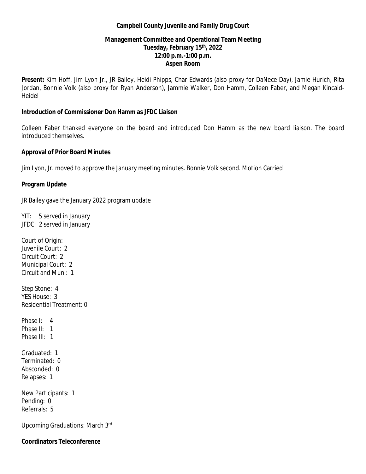#### **Campbell County Juvenile and Family Drug Court**

# **Management Committee and Operational Team Meeting Tuesday, February 15 th, 2022 12:00 p.m.-1:00 p.m. Aspen Room**

**Present:** Kim Hoff, Jim Lyon Jr., JR Bailey, Heidi Phipps, Char Edwards (also proxy for DaNece Day), Jamie Hurich, Rita Jordan, Bonnie Volk (also proxy for Ryan Anderson), Jammie Walker, Don Hamm, Colleen Faber, and Megan Kincaid-Heidel

### **Introduction of Commissioner Don Hamm as JFDC Liaison**

Colleen Faber thanked everyone on the board and introduced Don Hamm as the new board liaison. The board introduced themselves.

# **Approval of Prior Board Minutes**

Jim Lyon, Jr. moved to approve the January meeting minutes. Bonnie Volk second. Motion Carried

# **Program Update**

JR Bailey gave the January 2022 program update

YIT: 5 served in January JFDC: 2 served in January

Court of Origin: Juvenile Court: 2 Circuit Court: 2 Municipal Court: 2 Circuit and Muni: 1

Step Stone: 4 YES House: 3 Residential Treatment: 0

Phase I: 4 Phase II: 1 Phase III: 1

Graduated: 1 Terminated: 0 Absconded: 0 Relapses: 1

New Participants: 1 Pending: 0 Referrals: 5

Upcoming Graduations: March 3rd

**Coordinators Teleconference**